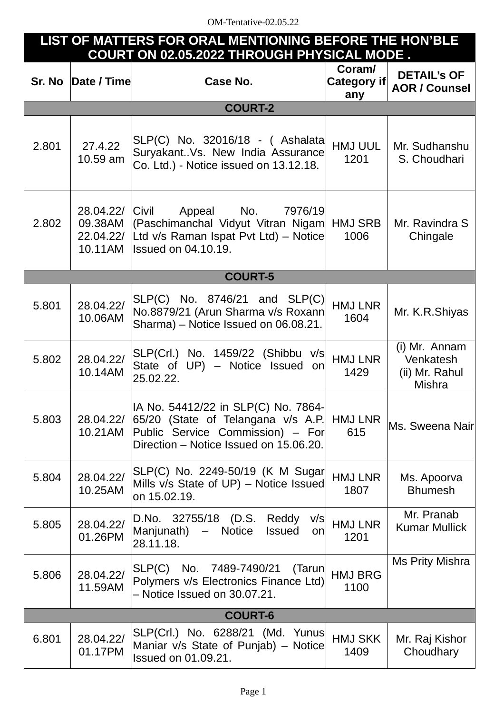## **LIST OF MATTERS FOR ORAL MENTIONING BEFORE THE HON'BLE COURT ON 02.05.2022 THROUGH PHYSICAL MODE .**

| Sr. No         | Date / Time                                  | Case No.                                                                                                                                                | Coram/<br>Category if<br>any | <b>DETAIL'S OF</b><br><b>AOR / Counsel</b>                    |  |  |  |
|----------------|----------------------------------------------|---------------------------------------------------------------------------------------------------------------------------------------------------------|------------------------------|---------------------------------------------------------------|--|--|--|
|                |                                              | <b>COURT-2</b>                                                                                                                                          |                              |                                                               |  |  |  |
| 2.801          | 27.4.22<br>10.59 am                          | SLP(C) No. 32016/18 - ( Ashalata<br>SuryakantVs. New India Assurance<br>Co. Ltd.) - Notice issued on 13.12.18.                                          | <b>HMJ UUL</b><br>1201       | Mr. Sudhanshu<br>S. Choudhari                                 |  |  |  |
| 2.802          | 28.04.22/<br>09.38AM<br>22.04.22/<br>10.11AM | Appeal No.<br>Civil<br>7976/19<br>(Paschimanchal Vidyut Vitran Nigam<br>Ltd v/s Raman Ispat Pvt Ltd) - Notice<br><b>Issued on 04.10.19.</b>             | <b>HMJ SRB</b><br>1006       | Mr. Ravindra S<br>Chingale                                    |  |  |  |
|                |                                              | <b>COURT-5</b>                                                                                                                                          |                              |                                                               |  |  |  |
| 5.801          | 28.04.22/<br>10.06AM                         | $SLP(C)$ No. 8746/21 and $SLP(C)$<br>No.8879/21 (Arun Sharma v/s Roxann<br>Sharma) - Notice Issued on 06.08.21.                                         | <b>HMJ LNR</b><br>1604       | Mr. K.R.Shiyas                                                |  |  |  |
| 5.802          | 28.04.22/<br>10.14AM                         | SLP(Crl.) No. 1459/22 (Shibbu v/s<br>State of UP) - Notice Issued on<br>25.02.22.                                                                       | <b>HMJ LNR</b><br>1429       | (i) Mr. Annam<br>Venkatesh<br>(ii) Mr. Rahul<br><b>Mishra</b> |  |  |  |
| 5.803          | 28.04.22/<br>10.21AM                         | IA No. 54412/22 in SLP(C) No. 7864-<br>65/20 (State of Telangana v/s A.P.<br>Public Service Commission) - For<br>Direction - Notice Issued on 15.06.20. | HMJ LNR<br>615               | Ms. Sweena Nair                                               |  |  |  |
| 5.804          | 28.04.22/<br>10.25AM                         | SLP(C) No. 2249-50/19 (K M Sugar<br>Mills v/s State of UP) - Notice Issued<br>on 15.02.19.                                                              | <b>HMJ LNR</b><br>1807       | Ms. Apoorva<br><b>Bhumesh</b>                                 |  |  |  |
| 5.805          | 28.04.22/<br>01.26PM                         | D.No. 32755/18 (D.S. Reddy<br>V/S<br>Notice<br>Manjunath)<br><b>Issued</b><br>$\qquad \qquad -$<br>on<br>28.11.18.                                      | <b>HMJ LNR</b><br>1201       | Mr. Pranab<br><b>Kumar Mullick</b>                            |  |  |  |
| 5.806          | 28.04.22/<br>11.59AM                         | No. 7489-7490/21<br>SLP(C)<br>(Tarun)<br>Polymers v/s Electronics Finance Ltd)<br>- Notice Issued on 30.07.21.                                          | <b>HMJ BRG</b><br>1100       | <b>Ms Prity Mishra</b>                                        |  |  |  |
| <b>COURT-6</b> |                                              |                                                                                                                                                         |                              |                                                               |  |  |  |
| 6.801          | 28.04.22/<br>01.17PM                         | SLP(Crl.) No. 6288/21 (Md. Yunus)<br>Maniar v/s State of Punjab) – Notice<br>Issued on 01.09.21.                                                        | <b>HMJ SKK</b><br>1409       | Mr. Raj Kishor<br>Choudhary                                   |  |  |  |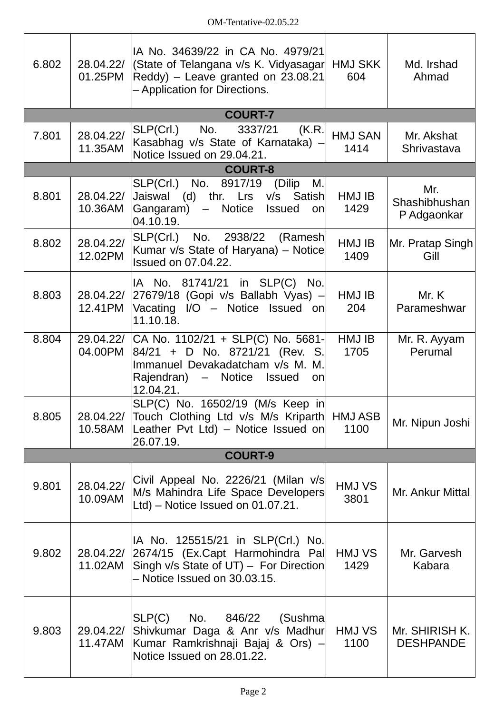| 6.802 | 28.04.22/<br>01.25PM | IA No. 34639/22 in CA No. 4979/21<br>(State of Telangana v/s K. Vidyasagar HMJ SKK<br>$\text{Reddy}$ ) – Leave granted on 23.08.21<br>- Application for Directions. | 604                    | Md. Irshad<br>Ahmad                 |
|-------|----------------------|---------------------------------------------------------------------------------------------------------------------------------------------------------------------|------------------------|-------------------------------------|
|       |                      | <b>COURT-7</b>                                                                                                                                                      |                        |                                     |
| 7.801 | 28.04.22/<br>11.35AM | SLP(Crl.)<br>No.<br>3337/21<br>(K.R.<br>Kasabhag v/s State of Karnataka) -<br>Notice Issued on 29.04.21.                                                            | <b>HMJ SAN</b><br>1414 | Mr. Akshat<br>Shrivastava           |
|       |                      | <b>COURT-8</b>                                                                                                                                                      |                        |                                     |
| 8.801 | 28.04.22/<br>10.36AM | SLP(Crl.) No. 8917/19 (Dilip<br>М.<br>Jaiswal (d) thr. Lrs v/s Satish<br>Notice<br> Gangaram) –<br><b>Issued</b><br>on<br>04.10.19.                                 | HMJ IB<br>1429         | Mr.<br>Shashibhushan<br>P Adgaonkar |
| 8.802 | 28.04.22/<br>12.02PM | SLP(Crl.) No. 2938/22<br>(Ramesh)<br>Kumar v/s State of Haryana) – Notice<br><b>Issued on 07.04.22.</b>                                                             | HMJ IB<br>1409         | Mr. Pratap Singh<br>Gill            |
| 8.803 | 28.04.22/<br>12.41PM | IA No. 81741/21 in SLP(C) No.<br>$27679/18$ (Gopi v/s Ballabh Vyas) -<br>Vacating I/O $-$ Notice Issued on<br>11.10.18.                                             | HMJ IB<br>204          | Mr. K<br>Parameshwar                |
| 8.804 | 04.00PM              | 29.04.22/ CA No. 1102/21 + SLP(C) No. 5681-<br>84/21 + D No. 8721/21 (Rev. S.<br>Immanuel Devakadatcham v/s M. M.<br>Rajendran) – Notice Issued<br>on<br>12.04.21.  | HMJ IB<br>1705         | Mr. R. Ayyam<br>Perumal             |
| 8.805 | 10.58AM              | SLP(C) No. 16502/19 (M/s Keep in<br>28.04.22/ Touch Clothing Ltd v/s M/s Kriparth HMJ ASB<br>Leather Pvt Ltd) – Notice Issued on<br>26.07.19.                       | 1100                   | Mr. Nipun Joshi                     |
|       |                      | <b>COURT-9</b>                                                                                                                                                      |                        |                                     |
| 9.801 | 28.04.22/<br>10.09AM | Civil Appeal No. 2226/21 (Milan v/s)<br>M/s Mahindra Life Space Developers<br>$\lfloor$ Ltd) – Notice Issued on 01.07.21.                                           | HMJ VS<br>3801         | Mr. Ankur Mittal                    |
| 9.802 | 28.04.22/<br>11.02AM | IA No. 125515/21 in SLP(Crl.) No.<br>2674/15 (Ex.Capt Harmohindra Pal<br>Singh v/s State of UT) - For Direction<br>- Notice Issued on 30.03.15.                     | HMJ VS<br>1429         | Mr. Garvesh<br>Kabara               |
| 9.803 | 29.04.22/<br>11.47AM | SLP(C)<br>No. 846/22 (Sushma<br>Shivkumar Daga & Anr v/s Madhur<br>Kumar Ramkrishnaji Bajaj & Ors) –<br>Notice Issued on 28.01.22.                                  | HMJ VS<br>1100         | Mr. SHIRISH K.<br><b>DESHPANDE</b>  |